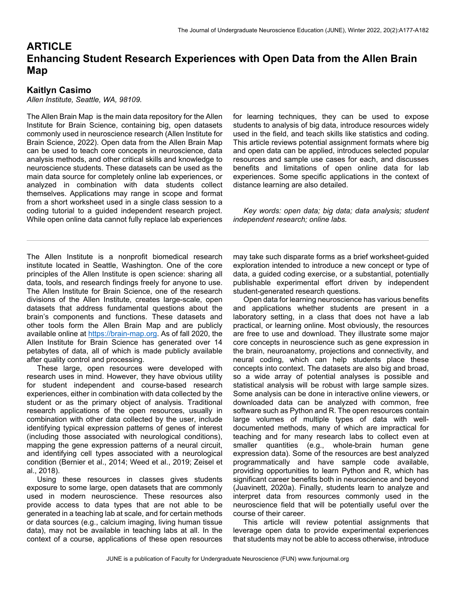# **ARTICLE Enhancing Student Research Experiences with Open Data from the Allen Brain Map**

# **Kaitlyn Casimo**

*Allen Institute, Seattle, WA, 98109.* 

The Allen Brain Map is the main data repository for the Allen Institute for Brain Science, containing big, open datasets commonly used in neuroscience research (Allen Institute for Brain Science, 2022). Open data from the Allen Brain Map can be used to teach core concepts in neuroscience, data analysis methods, and other critical skills and knowledge to neuroscience students. These datasets can be used as the main data source for completely online lab experiences, or analyzed in combination with data students collect themselves. Applications may range in scope and format from a short worksheet used in a single class session to a coding tutorial to a guided independent research project. While open online data cannot fully replace lab experiences for learning techniques, they can be used to expose students to analysis of big data, introduce resources widely used in the field, and teach skills like statistics and coding. This article reviews potential assignment formats where big and open data can be applied, introduces selected popular resources and sample use cases for each, and discusses benefits and limitations of open online data for lab experiences. Some specific applications in the context of distance learning are also detailed.

 *Key words: open data; big data; data analysis; student independent research; online labs.* 

The Allen Institute is a nonprofit biomedical research institute located in Seattle, Washington. One of the core principles of the Allen Institute is open science: sharing all data, tools, and research findings freely for anyone to use. The Allen Institute for Brain Science, one of the research divisions of the Allen Institute, creates large-scale, open datasets that address fundamental questions about the brain's components and functions. These datasets and other tools form the Allen Brain Map and are publicly available online at https://brain-map.org. As of fall 2020, the Allen Institute for Brain Science has generated over 14 petabytes of data, all of which is made publicly available after quality control and processing.

 These large, open resources were developed with research uses in mind. However, they have obvious utility for student independent and course-based research experiences, either in combination with data collected by the student or as the primary object of analysis. Traditional research applications of the open resources, usually in combination with other data collected by the user, include identifying typical expression patterns of genes of interest (including those associated with neurological conditions), mapping the gene expression patterns of a neural circuit, and identifying cell types associated with a neurological condition (Bernier et al., 2014; Weed et al., 2019; Zeisel et al., 2018).

 Using these resources in classes gives students exposure to some large, open datasets that are commonly used in modern neuroscience. These resources also provide access to data types that are not able to be generated in a teaching lab at scale, and for certain methods or data sources (e.g., calcium imaging, living human tissue data), may not be available in teaching labs at all. In the context of a course, applications of these open resources may take such disparate forms as a brief worksheet-guided exploration intended to introduce a new concept or type of data, a guided coding exercise, or a substantial, potentially publishable experimental effort driven by independent student-generated research questions.

 Open data for learning neuroscience has various benefits and applications whether students are present in a laboratory setting, in a class that does not have a lab practical, or learning online. Most obviously, the resources are free to use and download. They illustrate some major core concepts in neuroscience such as gene expression in the brain, neuroanatomy, projections and connectivity, and neural coding, which can help students place these concepts into context. The datasets are also big and broad, so a wide array of potential analyses is possible and statistical analysis will be robust with large sample sizes. Some analysis can be done in interactive online viewers, or downloaded data can be analyzed with common, free software such as Python and R. The open resources contain large volumes of multiple types of data with welldocumented methods, many of which are impractical for teaching and for many research labs to collect even at smaller quantities (e.g., whole-brain human gene expression data). Some of the resources are best analyzed programmatically and have sample code available, providing opportunities to learn Python and R, which has significant career benefits both in neuroscience and beyond (Juavinett, 2020a). Finally, students learn to analyze and interpret data from resources commonly used in the neuroscience field that will be potentially useful over the course of their career.

 This article will review potential assignments that leverage open data to provide experimental experiences that students may not be able to access otherwise, introduce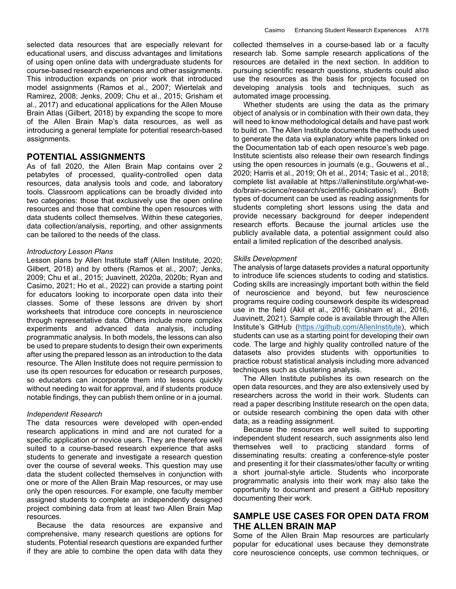selected data resources that are especially relevant for educational users, and discuss advantages and limitations of using open online data with undergraduate students for course-based research experiences and other assignments. This introduction expands on prior work that introduced model assignments (Ramos et al., 2007; Wiertelak and Ramirez, 2008; Jenks, 2009; Chu et al., 2015; Grisham et al., 2017) and educational applications for the Allen Mouse Brain Atlas (Gilbert, 2018) by expanding the scope to more of the Allen Brain Map's data resources, as well as introducing a general template for potential research-based assignments.

## **POTENTIAL ASSIGNMENTS**

As of fall 2020, the Allen Brain Map contains over 2 petabytes of processed, quality-controlled open data resources, data analysis tools and code, and laboratory tools. Classroom applications can be broadly divided into two categories: those that exclusively use the open online resources and those that combine the open resources with data students collect themselves. Within these categories, data collection/analysis, reporting, and other assignments can be tailored to the needs of the class.

#### *Introductory Lesson Plans*

Lesson plans by Allen Institute staff (Allen Institute, 2020; Gilbert, 2018) and by others (Ramos et al., 2007; Jenks, 2009; Chu et al., 2015; Juavinett, 2020a, 2020b; Ryan and Casimo, 2021; Ho et al., 2022) can provide a starting point for educators looking to incorporate open data into their classes. Some of these lessons are driven by short worksheets that introduce core concepts in neuroscience through representative data. Others include more complex experiments and advanced data analysis, including programmatic analysis. In both models, the lessons can also be used to prepare students to design their own experiments after using the prepared lesson as an introduction to the data resource. The Allen Institute does not require permission to use its open resources for education or research purposes, so educators can incorporate them into lessons quickly without needing to wait for approval, and if students produce notable findings, they can publish them online or in a journal.

#### *Independent Research*

The data resources were developed with open-ended research applications in mind and are not curated for a specific application or novice users. They are therefore well suited to a course-based research experience that asks students to generate and investigate a research question over the course of several weeks. This question may use data the student collected themselves in conjunction with one or more of the Allen Brain Map resources, or may use only the open resources. For example, one faculty member assigned students to complete an independently designed project combining data from at least two Allen Brain Map resources.

 Because the data resources are expansive and comprehensive, many research questions are options for students. Potential research questions are expanded further if they are able to combine the open data with data they collected themselves in a course-based lab or a faculty research lab. Some sample research applications of the resources are detailed in the next section. In addition to pursuing scientific research questions, students could also use the resources as the basis for projects focused on developing analysis tools and techniques, such as automated image processing.

 Whether students are using the data as the primary object of analysis or in combination with their own data, they will need to know methodological details and have past work to build on. The Allen Institute documents the methods used to generate the data via explanatory white papers linked on the Documentation tab of each open resource's web page. Institute scientists also release their own research findings using the open resources in journals (e.g., Gouwens et al., 2020; Harris et al., 2019; Oh et al., 2014; Tasic et al., 2018; complete list available at https://alleninstitute.org/what-wedo/brain-science/research/scientific-publications/). Both types of document can be used as reading assignments for students completing short lessons using the data and provide necessary background for deeper independent research efforts. Because the journal articles use the publicly available data, a potential assignment could also entail a limited replication of the described analysis.

#### *Skills Development*

The analysis of large datasets provides a natural opportunity to introduce life sciences students to coding and statistics. Coding skills are increasingly important both within the field of neuroscience and beyond, but few neuroscience programs require coding coursework despite its widespread use in the field (Akil et al., 2016; Grisham et al., 2016, Juavinett, 2021). Sample code is available through the Allen Institute's GitHub (https://github.com/AllenInstitute), which students can use as a starting point for developing their own code. The large and highly quality controlled nature of the datasets also provides students with opportunities to practice robust statistical analysis including more advanced techniques such as clustering analysis.

 The Allen Institute publishes its own research on the open data resources, and they are also extensively used by researchers across the world in their work. Students can read a paper describing Institute research on the open data, or outside research combining the open data with other data, as a reading assignment.

 Because the resources are well suited to supporting independent student research, such assignments also lend themselves well to practicing standard forms of disseminating results: creating a conference-style poster and presenting it for their classmates/other faculty or writing a short journal-style article. Students who incorporate programmatic analysis into their work may also take the opportunity to document and present a GitHub repository documenting their work.

# **SAMPLE USE CASES FOR OPEN DATA FROM THE ALLEN BRAIN MAP**

Some of the Allen Brain Map resources are particularly popular for educational uses because they demonstrate core neuroscience concepts, use common techniques, or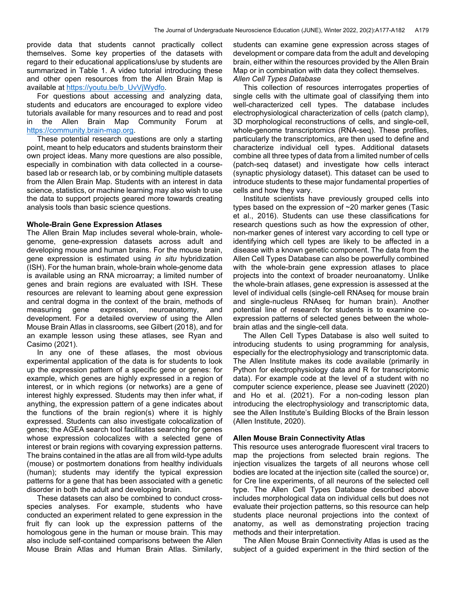provide data that students cannot practically collect themselves. Some key properties of the datasets with regard to their educational applications/use by students are summarized in Table 1. A video tutorial introducing these and other open resources from the Allen Brain Map is available at https://youtu.be/b\_UvVjWydfo.

 For questions about accessing and analyzing data, students and educators are encouraged to explore video tutorials available for many resources and to read and post in the Allen Brain Map Community Forum at https://community.brain-map.org.

 These potential research questions are only a starting point, meant to help educators and students brainstorm their own project ideas. Many more questions are also possible, especially in combination with data collected in a coursebased lab or research lab, or by combining multiple datasets from the Allen Brain Map. Students with an interest in data science, statistics, or machine learning may also wish to use the data to support projects geared more towards creating analysis tools than basic science questions.

#### **Whole-Brain Gene Expression Atlases**

The Allen Brain Map includes several whole-brain, wholegenome, gene-expression datasets across adult and developing mouse and human brains. For the mouse brain, gene expression is estimated using *in situ* hybridization (ISH). For the human brain, whole-brain whole-genome data is available using an RNA microarray; a limited number of genes and brain regions are evaluated with ISH. These resources are relevant to learning about gene expression and central dogma in the context of the brain, methods of measuring gene expression, neuroanatomy, and development. For a detailed overview of using the Allen Mouse Brain Atlas in classrooms, see Gilbert (2018), and for an example lesson using these atlases, see Ryan and Casimo (2021).

 In any one of these atlases, the most obvious experimental application of the data is for students to look up the expression pattern of a specific gene or genes: for example, which genes are highly expressed in a region of interest, or in which regions (or networks) are a gene of interest highly expressed. Students may then infer what, if anything, the expression pattern of a gene indicates about the functions of the brain region(s) where it is highly expressed. Students can also investigate colocalization of genes; the AGEA search tool facilitates searching for genes whose expression colocalizes with a selected gene of interest or brain regions with covarying expression patterns. The brains contained in the atlas are all from wild-type adults (mouse) or postmortem donations from healthy individuals (human); students may identify the typical expression patterns for a gene that has been associated with a genetic disorder in both the adult and developing brain.

 These datasets can also be combined to conduct crossspecies analyses. For example, students who have conducted an experiment related to gene expression in the fruit fly can look up the expression patterns of the homologous gene in the human or mouse brain. This may also include self-contained comparisons between the Allen Mouse Brain Atlas and Human Brain Atlas. Similarly, students can examine gene expression across stages of development or compare data from the adult and developing brain, either within the resources provided by the Allen Brain Map or in combination with data they collect themselves.

#### *Allen Cell Types Database*

 This collection of resources interrogates properties of single cells with the ultimate goal of classifying them into well-characterized cell types. The database includes electrophysiological characterization of cells (patch clamp), 3D morphological reconstructions of cells, and single-cell, whole-genome transcriptomics (RNA-seq). These profiles, particularly the transcriptomics, are then used to define and characterize individual cell types. Additional datasets combine all three types of data from a limited number of cells (patch-seq dataset) and investigate how cells interact (synaptic physiology dataset). This dataset can be used to introduce students to these major fundamental properties of cells and how they vary.

 Institute scientists have previously grouped cells into types based on the expression of ~20 marker genes (Tasic et al., 2016). Students can use these classifications for research questions such as how the expression of other, non-marker genes of interest vary according to cell type or identifying which cell types are likely to be affected in a disease with a known genetic component. The data from the Allen Cell Types Database can also be powerfully combined with the whole-brain gene expression atlases to place projects into the context of broader neuroanatomy. Unlike the whole-brain atlases, gene expression is assessed at the level of individual cells (single-cell RNAseq for mouse brain and single-nucleus RNAseq for human brain). Another potential line of research for students is to examine coexpression patterns of selected genes between the wholebrain atlas and the single-cell data.

 The Allen Cell Types Database is also well suited to introducing students to using programming for analysis, especially for the electrophysiology and transcriptomic data. The Allen Institute makes its code available (primarily in Python for electrophysiology data and R for transcriptomic data). For example code at the level of a student with no computer science experience, please see Juavinett (2020) and Ho et al. (2021). For a non-coding lesson plan introducing the electrophysiology and transcriptomic data, see the Allen Institute's Building Blocks of the Brain lesson (Allen Institute, 2020).

#### **Allen Mouse Brain Connectivity Atlas**

This resource uses anterograde fluorescent viral tracers to map the projections from selected brain regions. The injection visualizes the targets of all neurons whose cell bodies are located at the injection site (called the source) or, for Cre line experiments, of all neurons of the selected cell type. The Allen Cell Types Database described above includes morphological data on individual cells but does not evaluate their projection patterns, so this resource can help students place neuronal projections into the context of anatomy, as well as demonstrating projection tracing methods and their interpretation.

 The Allen Mouse Brain Connectivity Atlas is used as the subject of a guided experiment in the third section of the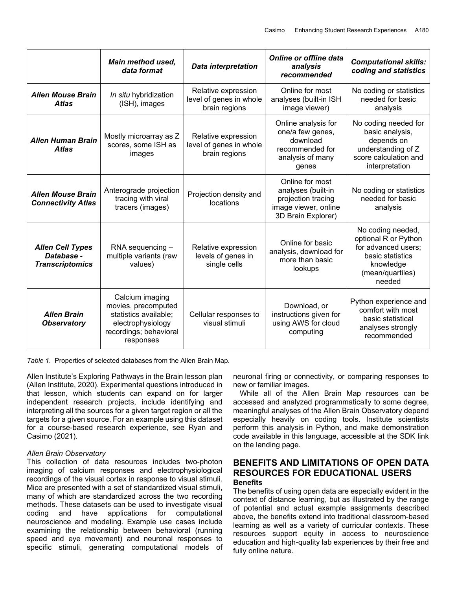|                                                                 | <b>Main method used,</b><br>data format                                                                                     | <b>Data interpretation</b>                                      | <b>Online or offline data</b><br>analysis<br>recommended                                                  | <b>Computational skills:</b><br>coding and statistics                                                                           |
|-----------------------------------------------------------------|-----------------------------------------------------------------------------------------------------------------------------|-----------------------------------------------------------------|-----------------------------------------------------------------------------------------------------------|---------------------------------------------------------------------------------------------------------------------------------|
| <b>Allen Mouse Brain</b><br><b>Atlas</b>                        | In situ hybridization<br>(ISH), images                                                                                      | Relative expression<br>level of genes in whole<br>brain regions | Online for most<br>analyses (built-in ISH<br>image viewer)                                                | No coding or statistics<br>needed for basic<br>analysis                                                                         |
| <b>Allen Human Brain</b><br><b>Atlas</b>                        | Mostly microarray as Z<br>scores, some ISH as<br>images                                                                     | Relative expression<br>level of genes in whole<br>brain regions | Online analysis for<br>one/a few genes,<br>download<br>recommended for<br>analysis of many<br>genes       | No coding needed for<br>basic analysis,<br>depends on<br>understanding of Z<br>score calculation and<br>interpretation          |
| <b>Allen Mouse Brain</b><br><b>Connectivity Atlas</b>           | Anterograde projection<br>tracing with viral<br>tracers (images)                                                            | Projection density and<br>locations                             | Online for most<br>analyses (built-in<br>projection tracing<br>image viewer, online<br>3D Brain Explorer) | No coding or statistics<br>needed for basic<br>analysis                                                                         |
| <b>Allen Cell Types</b><br>Database -<br><b>Transcriptomics</b> | $RNA$ sequencing $-$<br>multiple variants (raw<br>values)                                                                   | Relative expression<br>levels of genes in<br>single cells       | Online for basic<br>analysis, download for<br>more than basic<br>lookups                                  | No coding needed,<br>optional R or Python<br>for advanced users;<br>basic statistics<br>knowledge<br>(mean/quartiles)<br>needed |
| <b>Allen Brain</b><br><b>Observatory</b>                        | Calcium imaging<br>movies, precomputed<br>statistics available;<br>electrophysiology<br>recordings; behavioral<br>responses | Cellular responses to<br>visual stimuli                         | Download, or<br>instructions given for<br>using AWS for cloud<br>computing                                | Python experience and<br>comfort with most<br>basic statistical<br>analyses strongly<br>recommended                             |

*Table 1.* Properties of selected databases from the Allen Brain Map.

Allen Institute's Exploring Pathways in the Brain lesson plan (Allen Institute, 2020). Experimental questions introduced in that lesson, which students can expand on for larger independent research projects, include identifying and interpreting all the sources for a given target region or all the targets for a given source. For an example using this dataset for a course-based research experience, see Ryan and Casimo (2021).

### *Allen Brain Observatory*

This collection of data resources includes two-photon imaging of calcium responses and electrophysiological recordings of the visual cortex in response to visual stimuli. Mice are presented with a set of standardized visual stimuli, many of which are standardized across the two recording methods. These datasets can be used to investigate visual coding and have applications for computational neuroscience and modeling. Example use cases include examining the relationship between behavioral (running speed and eye movement) and neuronal responses to specific stimuli, generating computational models of neuronal firing or connectivity, or comparing responses to new or familiar images.

While all of the Allen Brain Map resources can be accessed and analyzed programmatically to some degree, meaningful analyses of the Allen Brain Observatory depend especially heavily on coding tools. Institute scientists perform this analysis in Python, and make demonstration code available in this language, accessible at the SDK link on the landing page.

# **BENEFITS AND LIMITATIONS OF OPEN DATA RESOURCES FOR EDUCATIONAL USERS Benefits**

The benefits of using open data are especially evident in the context of distance learning, but as illustrated by the range of potential and actual example assignments described above, the benefits extend into traditional classroom-based learning as well as a variety of curricular contexts. These resources support equity in access to neuroscience education and high-quality lab experiences by their free and fully online nature.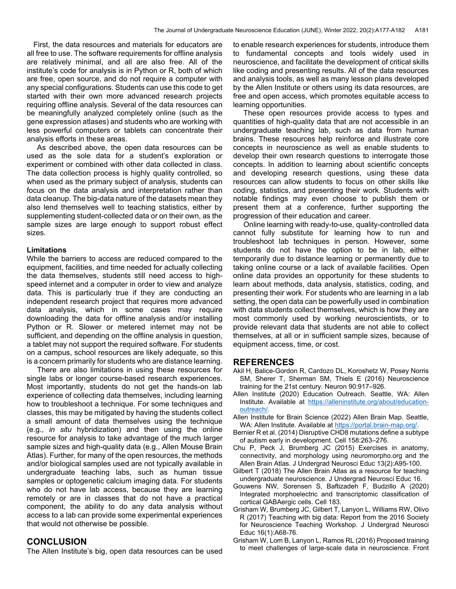First, the data resources and materials for educators are all free to use. The software requirements for offline analysis are relatively minimal, and all are also free. All of the institute's code for analysis is in Python or R, both of which are free, open source, and do not require a computer with any special configurations. Students can use this code to get started with their own more advanced research projects requiring offline analysis. Several of the data resources can be meaningfully analyzed completely online (such as the gene expression atlases) and students who are working with less powerful computers or tablets can concentrate their analysis efforts in these areas.

 As described above, the open data resources can be used as the sole data for a student's exploration or experiment or combined with other data collected in class. The data collection process is highly quality controlled, so when used as the primary subject of analysis, students can focus on the data analysis and interpretation rather than data cleanup. The big-data nature of the datasets mean they also lend themselves well to teaching statistics, either by supplementing student-collected data or on their own, as the sample sizes are large enough to support robust effect sizes.

#### **Limitations**

While the barriers to access are reduced compared to the equipment, facilities, and time needed for actually collecting the data themselves, students still need access to highspeed internet and a computer in order to view and analyze data. This is particularly true if they are conducting an independent research project that requires more advanced data analysis, which in some cases may require downloading the data for offline analysis and/or installing Python or R. Slower or metered internet may not be sufficient, and depending on the offline analysis in question, a tablet may not support the required software. For students on a campus, school resources are likely adequate, so this is a concern primarily for students who are distance learning.

 There are also limitations in using these resources for single labs or longer course-based research experiences. Most importantly, students do not get the hands-on lab experience of collecting data themselves, including learning how to troubleshoot a technique. For some techniques and classes, this may be mitigated by having the students collect a small amount of data themselves using the technique (e.g., *in situ* hybridization) and then using the online resource for analysis to take advantage of the much larger sample sizes and high-quality data (e.g., Allen Mouse Brain Atlas). Further, for many of the open resources, the methods and/or biological samples used are not typically available in undergraduate teaching labs, such as human tissue samples or optogenetic calcium imaging data. For students who do not have lab access, because they are learning remotely or are in classes that do not have a practical component, the ability to do any data analysis without access to a lab can provide some experimental experiences that would not otherwise be possible.

#### **CONCLUSION**

The Allen Institute's big, open data resources can be used

to enable research experiences for students, introduce them to fundamental concepts and tools widely used in neuroscience, and facilitate the development of critical skills like coding and presenting results. All of the data resources and analysis tools, as well as many lesson plans developed by the Allen Institute or others using its data resources, are free and open access, which promotes equitable access to learning opportunities.

 These open resources provide access to types and quantities of high-quality data that are not accessible in an undergraduate teaching lab, such as data from human brains. These resources help reinforce and illustrate core concepts in neuroscience as well as enable students to develop their own research questions to interrogate those concepts. In addition to learning about scientific concepts and developing research questions, using these data resources can allow students to focus on other skills like coding, statistics, and presenting their work. Students with notable findings may even choose to publish them or present them at a conference, further supporting the progression of their education and career.

 Online learning with ready-to-use, quality-controlled data cannot fully substitute for learning how to run and troubleshoot lab techniques in person. However, some students do not have the option to be in lab, either temporarily due to distance learning or permanently due to taking online course or a lack of available facilities. Open online data provides an opportunity for these students to learn about methods, data analysis, statistics, coding, and presenting their work. For students who are learning in a lab setting, the open data can be powerfully used in combination with data students collect themselves, which is how they are most commonly used by working neuroscientists, or to provide relevant data that students are not able to collect themselves, at all or in sufficient sample sizes, because of equipment access, time, or cost.

#### **REFERENCES**

- Akil H, Balice-Gordon R, Cardozo DL, Koroshetz W, Posey Norris SM, Sherer T, Sherman SM, Thiels E (2016) Neuroscience training for the 21st century. Neuron 90:917–926.
- Allen Institute (2020) Education Outreach. Seattle, WA: Allen Institute. Available at https://alleninstitute.org/about/educationoutreach/.
- Allen Institute for Brain Science (2022) Allen Brain Map. Seattle, WA: Allen Institute. Available at https://portal.brain-map.org/.
- Bernier R et al. (2014) Disruptive CHD8 mutations define a subtype of autism early in development. Cell 158:263–276.
- Chu P, Peck J, Brumberg JC (2015) Exercises in anatomy, connectivity, and morphology using neuromorpho.org and the Allen Brain Atlas. J Undergrad Neurosci Educ 13(2):A95-100.
- Gilbert T (2018) The Allen Brain Atlas as a resource for teaching undergraduate neuroscience. J Undergrad Neurosci Educ 16.
- Gouwens NW, Sorensen S, Baftizadeh F, Budzillo A (2020) Integrated morphoelectric and transcriptomic classification of cortical GABAergic cells. Cell 183.
- Grisham W, Brumberg JC, Gilbert T, Lanyon L, Williams RW, Olivo R (2017) Teaching with big data: Report from the 2016 Society for Neuroscience Teaching Workshop. J Undergrad Neurosci Educ 16(1):A68-76.
- Grisham W, Lom B, Lanyon L, Ramos RL (2016) Proposed training to meet challenges of large-scale data in neuroscience. Front